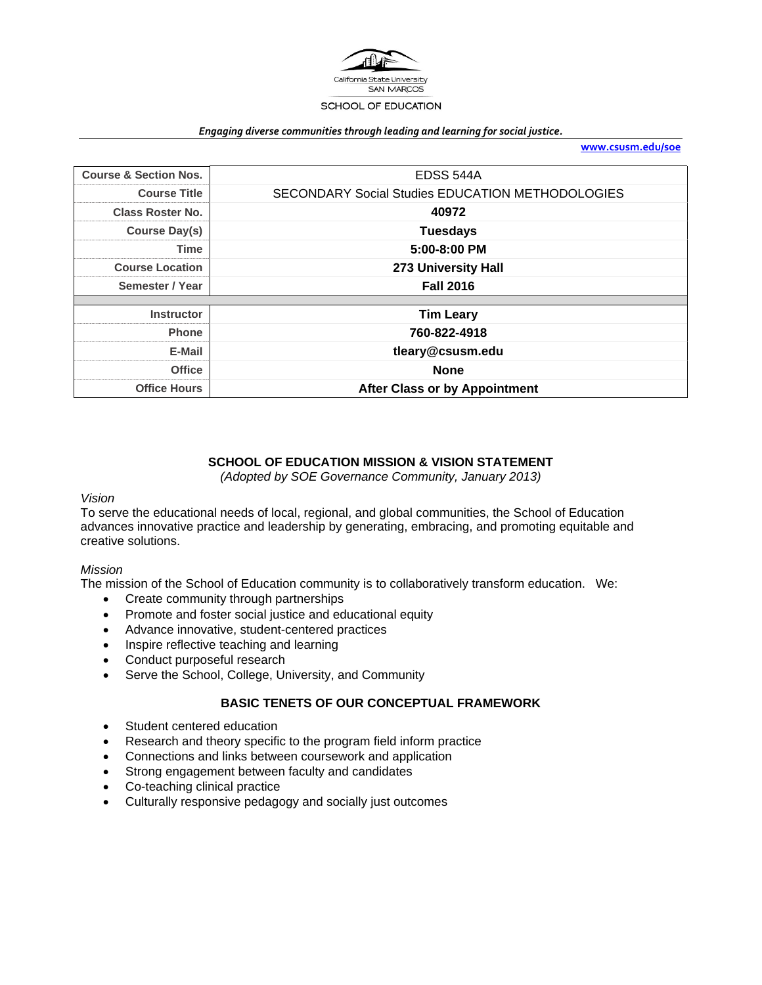

#### *Engaging diverse communities through leading and learning for social justice.*

**www.csusm.edu/soe**

| <b>Course &amp; Section Nos.</b> | EDSS 544A                                               |  |
|----------------------------------|---------------------------------------------------------|--|
| <b>Course Title</b>              | <b>SECONDARY Social Studies EDUCATION METHODOLOGIES</b> |  |
| <b>Class Roster No.</b>          | 40972                                                   |  |
| <b>Course Day(s)</b>             | <b>Tuesdays</b>                                         |  |
| <b>Time</b>                      | 5:00-8:00 PM                                            |  |
| <b>Course Location</b>           | 273 University Hall                                     |  |
| Semester / Year                  | <b>Fall 2016</b>                                        |  |
|                                  |                                                         |  |
| <b>Instructor</b>                | <b>Tim Leary</b>                                        |  |
| <b>Phone</b>                     | 760-822-4918                                            |  |
| E-Mail                           | tleary@csusm.edu                                        |  |
| <b>Office</b>                    | <b>None</b>                                             |  |
| <b>Office Hours</b>              | <b>After Class or by Appointment</b>                    |  |

#### **SCHOOL OF EDUCATION MISSION & VISION STATEMENT**

*(Adopted by SOE Governance Community, January 2013)* 

#### *Vision*

To serve the educational needs of local, regional, and global communities, the School of Education advances innovative practice and leadership by generating, embracing, and promoting equitable and creative solutions.

#### *Mission*

The mission of the School of Education community is to collaboratively transform education. We:

- Create community through partnerships
- Promote and foster social justice and educational equity
- Advance innovative, student-centered practices
- Inspire reflective teaching and learning
- Conduct purposeful research
- Serve the School, College, University, and Community

#### **BASIC TENETS OF OUR CONCEPTUAL FRAMEWORK**

- Student centered education
- Research and theory specific to the program field inform practice
- Connections and links between coursework and application
- Strong engagement between faculty and candidates
- Co-teaching clinical practice
- Culturally responsive pedagogy and socially just outcomes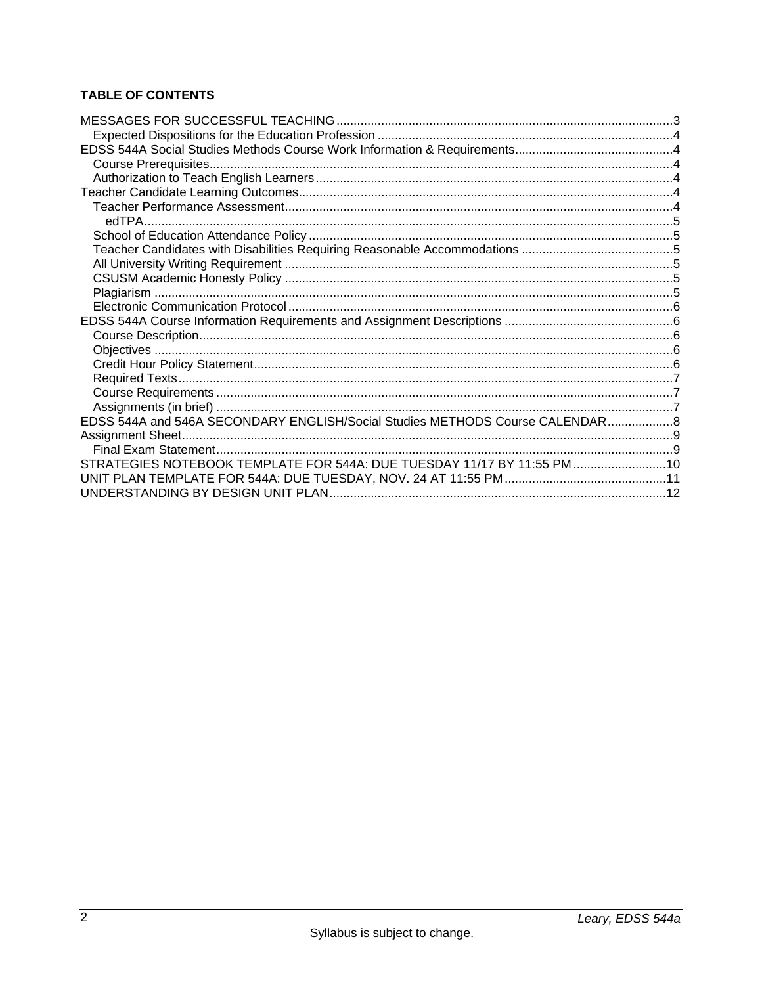# **TABLE OF CONTENTS**

| EDSS 544A and 546A SECONDARY ENGLISH/Social Studies METHODS Course CALENDAR8 |  |
|------------------------------------------------------------------------------|--|
|                                                                              |  |
|                                                                              |  |
| STRATEGIES NOTEBOOK TEMPLATE FOR 544A: DUE TUESDAY 11/17 BY 11:55 PM 10      |  |
|                                                                              |  |
|                                                                              |  |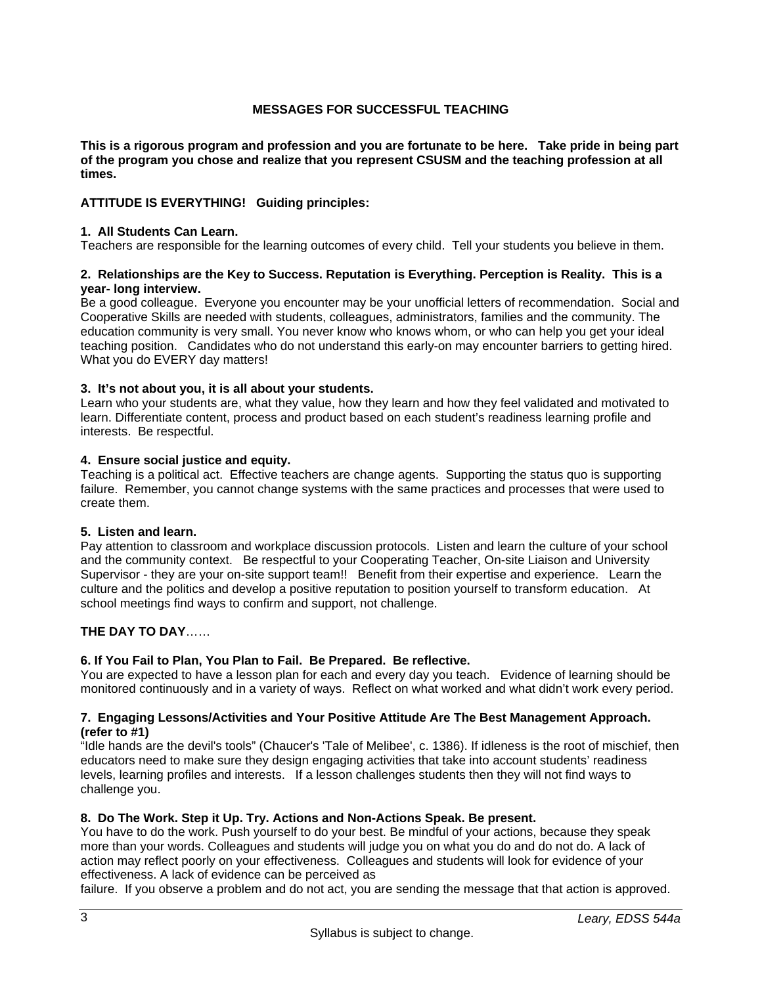## **MESSAGES FOR SUCCESSFUL TEACHING**

**This is a rigorous program and profession and you are fortunate to be here. Take pride in being part of the program you chose and realize that you represent CSUSM and the teaching profession at all times.** 

## **ATTITUDE IS EVERYTHING! Guiding principles:**

#### **1. All Students Can Learn.**

Teachers are responsible for the learning outcomes of every child. Tell your students you believe in them.

#### **2. Relationships are the Key to Success. Reputation is Everything. Perception is Reality. This is a year- long interview.**

Be a good colleague. Everyone you encounter may be your unofficial letters of recommendation. Social and Cooperative Skills are needed with students, colleagues, administrators, families and the community. The education community is very small. You never know who knows whom, or who can help you get your ideal teaching position. Candidates who do not understand this early-on may encounter barriers to getting hired. What you do EVERY day matters!

#### **3. It's not about you, it is all about your students.**

Learn who your students are, what they value, how they learn and how they feel validated and motivated to learn. Differentiate content, process and product based on each student's readiness learning profile and interests. Be respectful.

#### **4. Ensure social justice and equity.**

Teaching is a political act. Effective teachers are change agents. Supporting the status quo is supporting failure. Remember, you cannot change systems with the same practices and processes that were used to create them.

#### **5. Listen and learn.**

Pay attention to classroom and workplace discussion protocols. Listen and learn the culture of your school and the community context. Be respectful to your Cooperating Teacher, On-site Liaison and University Supervisor - they are your on-site support team!! Benefit from their expertise and experience. Learn the culture and the politics and develop a positive reputation to position yourself to transform education. At school meetings find ways to confirm and support, not challenge.

## **THE DAY TO DAY**……

## **6. If You Fail to Plan, You Plan to Fail. Be Prepared. Be reflective.**

You are expected to have a lesson plan for each and every day you teach. Evidence of learning should be monitored continuously and in a variety of ways. Reflect on what worked and what didn't work every period.

#### **7. Engaging Lessons/Activities and Your Positive Attitude Are The Best Management Approach. (refer to #1)**

"Idle hands are the devil's tools" (Chaucer's 'Tale of Melibee', c. 1386). If idleness is the root of mischief, then educators need to make sure they design engaging activities that take into account students' readiness levels, learning profiles and interests. If a lesson challenges students then they will not find ways to challenge you.

## **8. Do The Work. Step it Up. Try. Actions and Non-Actions Speak. Be present.**

You have to do the work. Push yourself to do your best. Be mindful of your actions, because they speak more than your words. Colleagues and students will judge you on what you do and do not do. A lack of action may reflect poorly on your effectiveness. Colleagues and students will look for evidence of your effectiveness. A lack of evidence can be perceived as

failure. If you observe a problem and do not act, you are sending the message that that action is approved.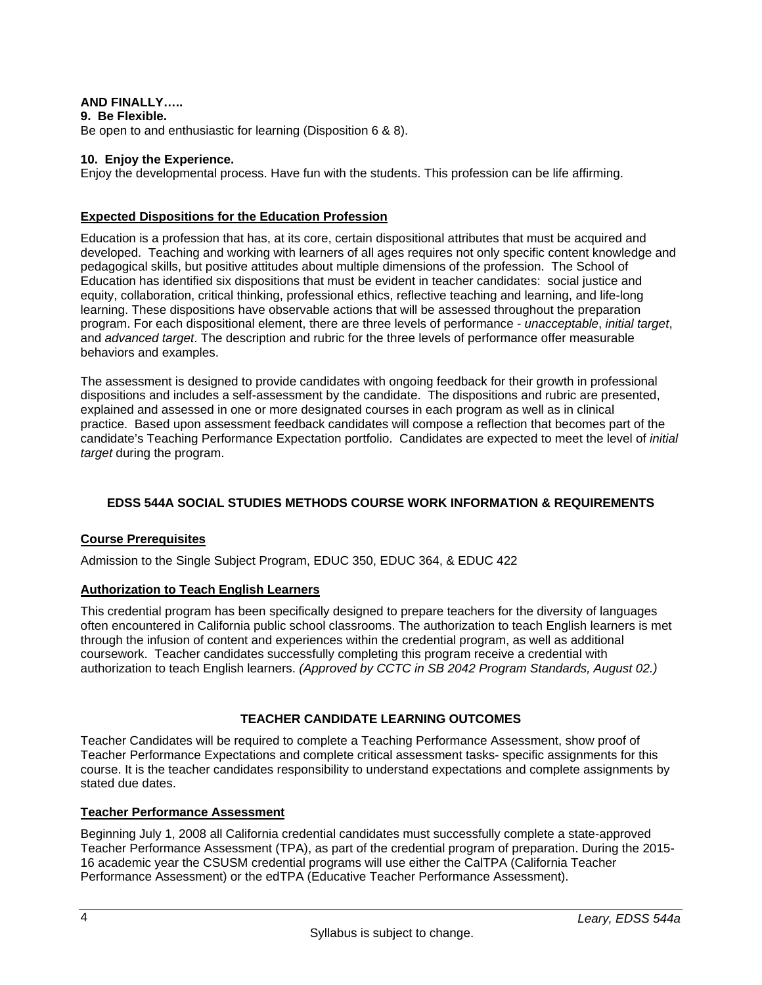## **AND FINALLY…..**

**9. Be Flexible.** 

Be open to and enthusiastic for learning (Disposition 6 & 8).

#### **10. Enjoy the Experience.**

Enjoy the developmental process. Have fun with the students. This profession can be life affirming.

#### **Expected Dispositions for the Education Profession**

Education is a profession that has, at its core, certain dispositional attributes that must be acquired and developed. Teaching and working with learners of all ages requires not only specific content knowledge and pedagogical skills, but positive attitudes about multiple dimensions of the profession. The School of Education has identified six dispositions that must be evident in teacher candidates: social justice and equity, collaboration, critical thinking, professional ethics, reflective teaching and learning, and life-long learning. These dispositions have observable actions that will be assessed throughout the preparation program. For each dispositional element, there are three levels of performance - *unacceptable*, *initial target*, and *advanced target*. The description and rubric for the three levels of performance offer measurable behaviors and examples.

The assessment is designed to provide candidates with ongoing feedback for their growth in professional dispositions and includes a self-assessment by the candidate. The dispositions and rubric are presented, explained and assessed in one or more designated courses in each program as well as in clinical practice. Based upon assessment feedback candidates will compose a reflection that becomes part of the candidate's Teaching Performance Expectation portfolio. Candidates are expected to meet the level of *initial target* during the program.

## **EDSS 544A SOCIAL STUDIES METHODS COURSE WORK INFORMATION & REQUIREMENTS**

## **Course Prerequisites**

Admission to the Single Subject Program, EDUC 350, EDUC 364, & EDUC 422

#### **Authorization to Teach English Learners**

This credential program has been specifically designed to prepare teachers for the diversity of languages often encountered in California public school classrooms. The authorization to teach English learners is met through the infusion of content and experiences within the credential program, as well as additional coursework. Teacher candidates successfully completing this program receive a credential with authorization to teach English learners. *(Approved by CCTC in SB 2042 Program Standards, August 02.)*

## **TEACHER CANDIDATE LEARNING OUTCOMES**

Teacher Candidates will be required to complete a Teaching Performance Assessment, show proof of Teacher Performance Expectations and complete critical assessment tasks- specific assignments for this course. It is the teacher candidates responsibility to understand expectations and complete assignments by stated due dates.

## **Teacher Performance Assessment**

Beginning July 1, 2008 all California credential candidates must successfully complete a state-approved Teacher Performance Assessment (TPA), as part of the credential program of preparation. During the 2015- 16 academic year the CSUSM credential programs will use either the CalTPA (California Teacher Performance Assessment) or the edTPA (Educative Teacher Performance Assessment).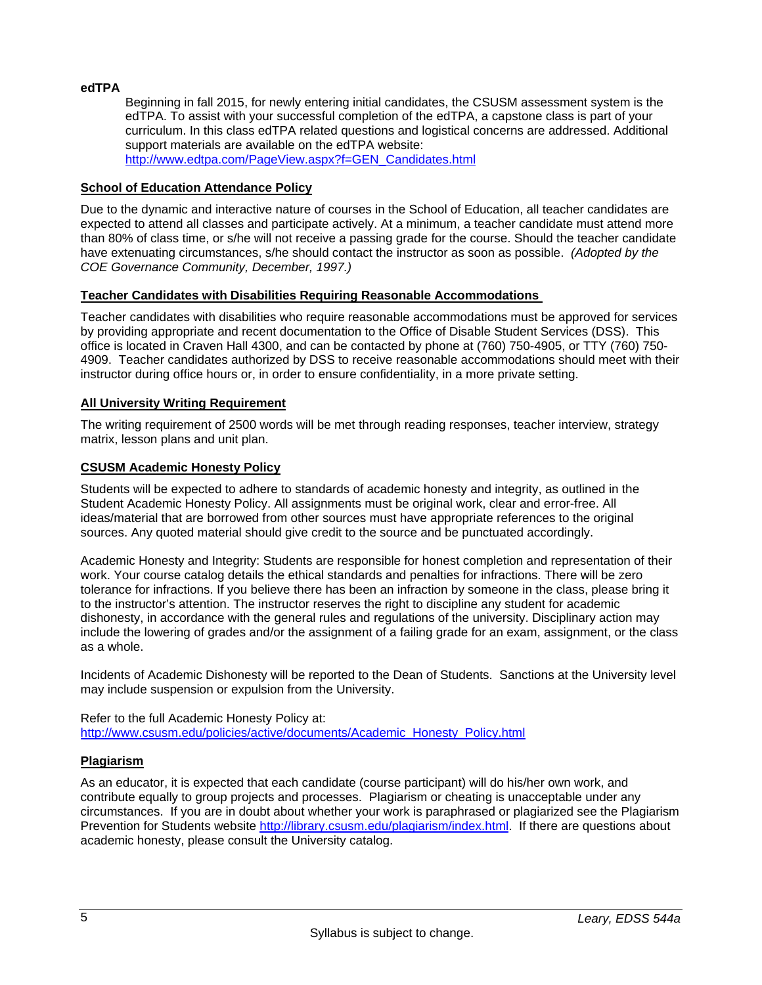## **edTPA**

Beginning in fall 2015, for newly entering initial candidates, the CSUSM assessment system is the edTPA. To assist with your successful completion of the edTPA, a capstone class is part of your curriculum. In this class edTPA related questions and logistical concerns are addressed. Additional support materials are available on the edTPA website: http://www.edtpa.com/PageView.aspx?f=GEN\_Candidates.html

## **School of Education Attendance Policy**

Due to the dynamic and interactive nature of courses in the School of Education, all teacher candidates are expected to attend all classes and participate actively. At a minimum, a teacher candidate must attend more than 80% of class time, or s/he will not receive a passing grade for the course. Should the teacher candidate have extenuating circumstances, s/he should contact the instructor as soon as possible. *(Adopted by the COE Governance Community, December, 1997.)*

#### **Teacher Candidates with Disabilities Requiring Reasonable Accommodations**

Teacher candidates with disabilities who require reasonable accommodations must be approved for services by providing appropriate and recent documentation to the Office of Disable Student Services (DSS). This office is located in Craven Hall 4300, and can be contacted by phone at (760) 750-4905, or TTY (760) 750- 4909. Teacher candidates authorized by DSS to receive reasonable accommodations should meet with their instructor during office hours or, in order to ensure confidentiality, in a more private setting.

## **All University Writing Requirement**

The writing requirement of 2500 words will be met through reading responses, teacher interview, strategy matrix, lesson plans and unit plan.

#### **CSUSM Academic Honesty Policy**

Students will be expected to adhere to standards of academic honesty and integrity, as outlined in the Student Academic Honesty Policy. All assignments must be original work, clear and error-free. All ideas/material that are borrowed from other sources must have appropriate references to the original sources. Any quoted material should give credit to the source and be punctuated accordingly.

Academic Honesty and Integrity: Students are responsible for honest completion and representation of their work. Your course catalog details the ethical standards and penalties for infractions. There will be zero tolerance for infractions. If you believe there has been an infraction by someone in the class, please bring it to the instructor's attention. The instructor reserves the right to discipline any student for academic dishonesty, in accordance with the general rules and regulations of the university. Disciplinary action may include the lowering of grades and/or the assignment of a failing grade for an exam, assignment, or the class as a whole.

Incidents of Academic Dishonesty will be reported to the Dean of Students. Sanctions at the University level may include suspension or expulsion from the University.

#### Refer to the full Academic Honesty Policy at: http://www.csusm.edu/policies/active/documents/Academic\_Honesty\_Policy.html

#### **Plagiarism**

As an educator, it is expected that each candidate (course participant) will do his/her own work, and contribute equally to group projects and processes. Plagiarism or cheating is unacceptable under any circumstances. If you are in doubt about whether your work is paraphrased or plagiarized see the Plagiarism Prevention for Students website http://library.csusm.edu/plagiarism/index.html. If there are questions about academic honesty, please consult the University catalog.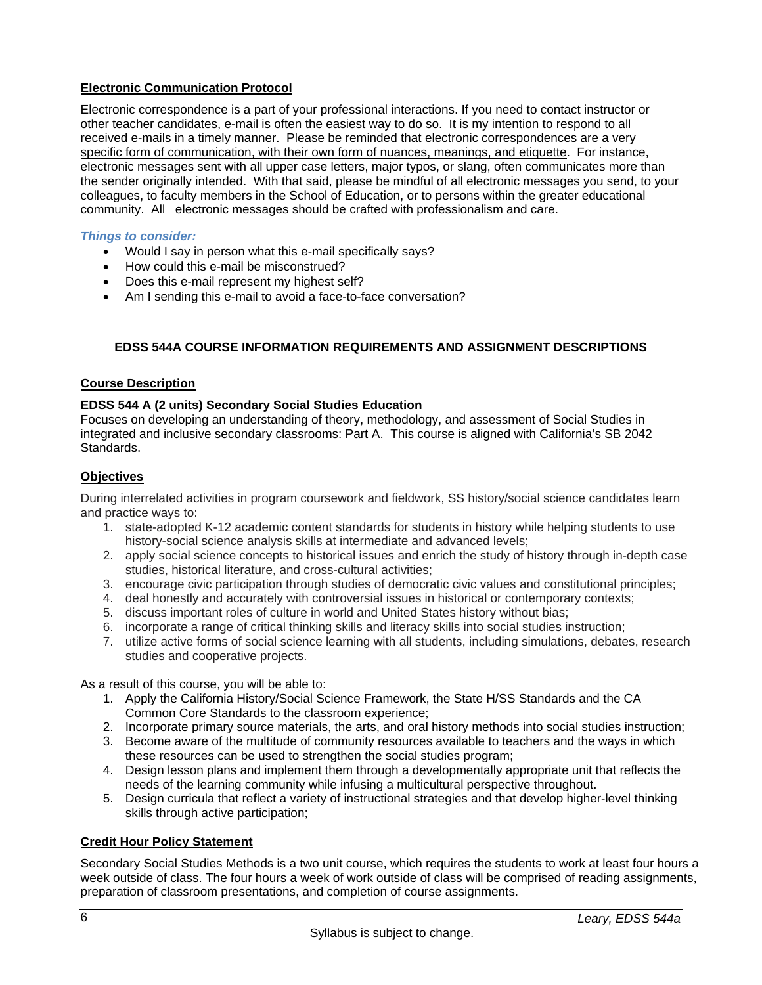## **Electronic Communication Protocol**

Electronic correspondence is a part of your professional interactions. If you need to contact instructor or other teacher candidates, e-mail is often the easiest way to do so. It is my intention to respond to all received e-mails in a timely manner. Please be reminded that electronic correspondences are a very specific form of communication, with their own form of nuances, meanings, and etiquette. For instance, electronic messages sent with all upper case letters, major typos, or slang, often communicates more than the sender originally intended. With that said, please be mindful of all electronic messages you send, to your colleagues, to faculty members in the School of Education, or to persons within the greater educational community. All electronic messages should be crafted with professionalism and care.

## *Things to consider:*

- Would I say in person what this e-mail specifically says?
- How could this e-mail be misconstrued?
- Does this e-mail represent my highest self?
- Am I sending this e-mail to avoid a face-to-face conversation?

## **EDSS 544A COURSE INFORMATION REQUIREMENTS AND ASSIGNMENT DESCRIPTIONS**

## **Course Description**

## **EDSS 544 A (2 units) Secondary Social Studies Education**

Focuses on developing an understanding of theory, methodology, and assessment of Social Studies in integrated and inclusive secondary classrooms: Part A. This course is aligned with California's SB 2042 Standards.

## **Objectives**

During interrelated activities in program coursework and fieldwork, SS history/social science candidates learn and practice ways to:

- 1. state-adopted K-12 academic content standards for students in history while helping students to use history-social science analysis skills at intermediate and advanced levels;
- 2. apply social science concepts to historical issues and enrich the study of history through in-depth case studies, historical literature, and cross-cultural activities;
- 3. encourage civic participation through studies of democratic civic values and constitutional principles;
- 4. deal honestly and accurately with controversial issues in historical or contemporary contexts;
- 5. discuss important roles of culture in world and United States history without bias;
- 6. incorporate a range of critical thinking skills and literacy skills into social studies instruction;
- 7. utilize active forms of social science learning with all students, including simulations, debates, research studies and cooperative projects.

As a result of this course, you will be able to:

- 1. Apply the California History/Social Science Framework, the State H/SS Standards and the CA Common Core Standards to the classroom experience;
- 2. Incorporate primary source materials, the arts, and oral history methods into social studies instruction;
- 3. Become aware of the multitude of community resources available to teachers and the ways in which these resources can be used to strengthen the social studies program;
- 4. Design lesson plans and implement them through a developmentally appropriate unit that reflects the needs of the learning community while infusing a multicultural perspective throughout.
- 5. Design curricula that reflect a variety of instructional strategies and that develop higher-level thinking skills through active participation;

## **Credit Hour Policy Statement**

Secondary Social Studies Methods is a two unit course, which requires the students to work at least four hours a week outside of class. The four hours a week of work outside of class will be comprised of reading assignments, preparation of classroom presentations, and completion of course assignments.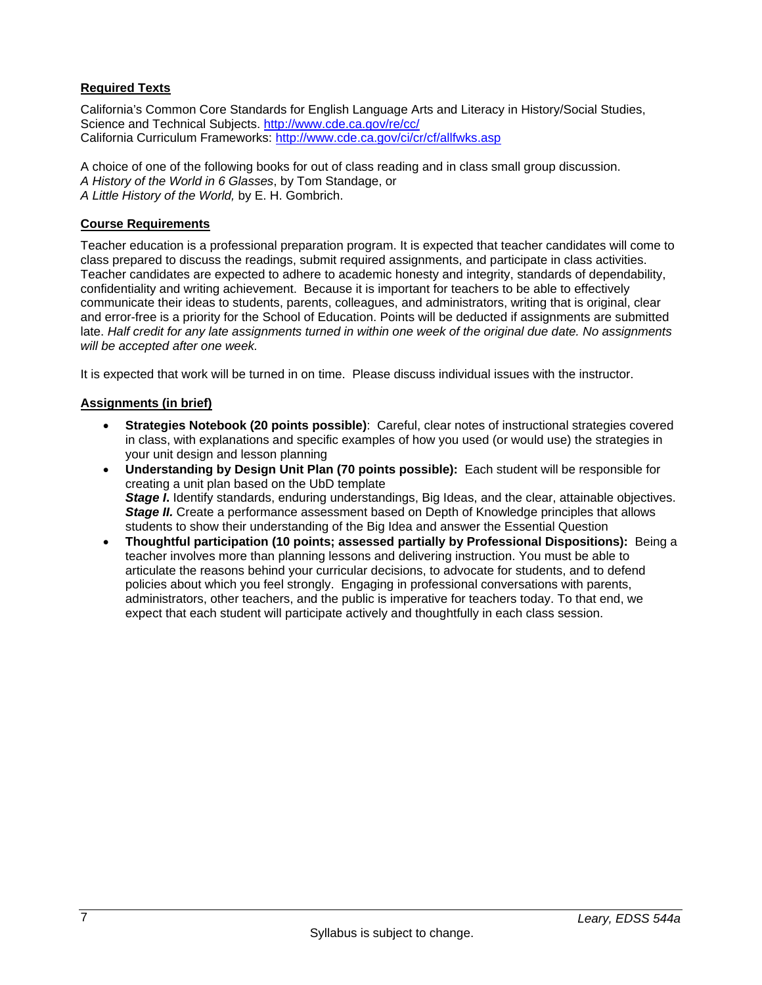## **Required Texts**

California's Common Core Standards for English Language Arts and Literacy in History/Social Studies, Science and Technical Subjects. http://www.cde.ca.gov/re/cc/ California Curriculum Frameworks: http://www.cde.ca.gov/ci/cr/cf/allfwks.asp

A choice of one of the following books for out of class reading and in class small group discussion. *A History of the World in 6 Glasses*, by Tom Standage, or *A Little History of the World,* by E. H. Gombrich.

#### **Course Requirements**

Teacher education is a professional preparation program. It is expected that teacher candidates will come to class prepared to discuss the readings, submit required assignments, and participate in class activities. Teacher candidates are expected to adhere to academic honesty and integrity, standards of dependability, confidentiality and writing achievement. Because it is important for teachers to be able to effectively communicate their ideas to students, parents, colleagues, and administrators, writing that is original, clear and error-free is a priority for the School of Education. Points will be deducted if assignments are submitted late. *Half credit for any late assignments turned in within one week of the original due date. No assignments will be accepted after one week.*

It is expected that work will be turned in on time. Please discuss individual issues with the instructor.

#### **Assignments (in brief)**

- **Strategies Notebook (20 points possible)**: Careful, clear notes of instructional strategies covered in class, with explanations and specific examples of how you used (or would use) the strategies in your unit design and lesson planning
- **Understanding by Design Unit Plan (70 points possible):** Each student will be responsible for creating a unit plan based on the UbD template *Stage I*. Identify standards, enduring understandings, Big Ideas, and the clear, attainable objectives. *Stage II.* Create a performance assessment based on Depth of Knowledge principles that allows students to show their understanding of the Big Idea and answer the Essential Question
- **Thoughtful participation (10 points; assessed partially by Professional Dispositions):** Being a teacher involves more than planning lessons and delivering instruction. You must be able to articulate the reasons behind your curricular decisions, to advocate for students, and to defend policies about which you feel strongly. Engaging in professional conversations with parents, administrators, other teachers, and the public is imperative for teachers today. To that end, we expect that each student will participate actively and thoughtfully in each class session.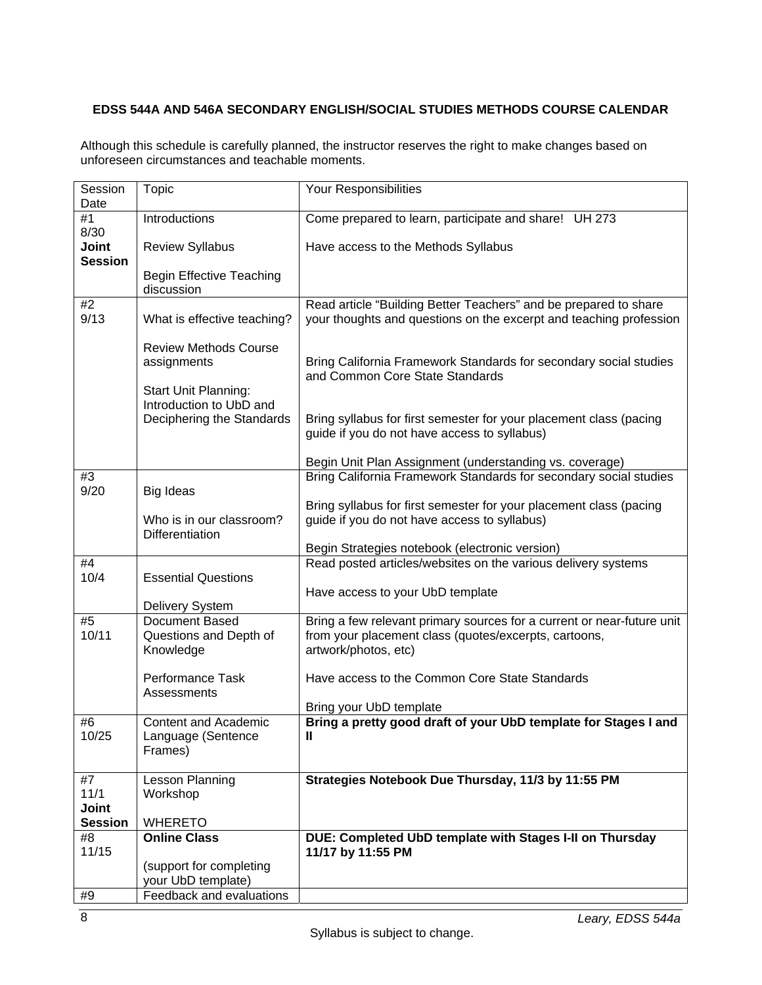## **EDSS 544A AND 546A SECONDARY ENGLISH/SOCIAL STUDIES METHODS COURSE CALENDAR**

Although this schedule is carefully planned, the instructor reserves the right to make changes based on unforeseen circumstances and teachable moments.

| Session<br>Date                        | <b>Topic</b>                                                        | Your Responsibilities                                                                                                                                   |  |
|----------------------------------------|---------------------------------------------------------------------|---------------------------------------------------------------------------------------------------------------------------------------------------------|--|
| #1                                     | Introductions                                                       | Come prepared to learn, participate and share! UH 273                                                                                                   |  |
| 8/30<br><b>Joint</b><br><b>Session</b> | <b>Review Syllabus</b>                                              | Have access to the Methods Syllabus                                                                                                                     |  |
|                                        | <b>Begin Effective Teaching</b><br>discussion                       |                                                                                                                                                         |  |
| #2<br>9/13                             | What is effective teaching?                                         | Read article "Building Better Teachers" and be prepared to share<br>your thoughts and questions on the excerpt and teaching profession                  |  |
|                                        | <b>Review Methods Course</b><br>assignments<br>Start Unit Planning: | Bring California Framework Standards for secondary social studies<br>and Common Core State Standards                                                    |  |
|                                        | Introduction to UbD and<br>Deciphering the Standards                | Bring syllabus for first semester for your placement class (pacing<br>guide if you do not have access to syllabus)                                      |  |
|                                        |                                                                     | Begin Unit Plan Assignment (understanding vs. coverage)                                                                                                 |  |
| #3<br>9/20                             | <b>Big Ideas</b>                                                    | Bring California Framework Standards for secondary social studies                                                                                       |  |
|                                        |                                                                     | Bring syllabus for first semester for your placement class (pacing                                                                                      |  |
|                                        | Who is in our classroom?                                            | guide if you do not have access to syllabus)                                                                                                            |  |
|                                        | <b>Differentiation</b>                                              | Begin Strategies notebook (electronic version)                                                                                                          |  |
| #4                                     |                                                                     | Read posted articles/websites on the various delivery systems                                                                                           |  |
| 10/4                                   | <b>Essential Questions</b>                                          |                                                                                                                                                         |  |
|                                        | Delivery System                                                     | Have access to your UbD template                                                                                                                        |  |
| #5<br>10/11                            | Document Based<br>Questions and Depth of<br>Knowledge               | Bring a few relevant primary sources for a current or near-future unit<br>from your placement class (quotes/excerpts, cartoons,<br>artwork/photos, etc) |  |
|                                        | Performance Task<br>Assessments                                     | Have access to the Common Core State Standards                                                                                                          |  |
|                                        |                                                                     | Bring your UbD template                                                                                                                                 |  |
| #6<br>10/25                            | <b>Content and Academic</b><br>Language (Sentence<br>Frames)        | Bring a pretty good draft of your UbD template for Stages I and<br>Ш                                                                                    |  |
| #7                                     | Lesson Planning                                                     | Strategies Notebook Due Thursday, 11/3 by 11:55 PM                                                                                                      |  |
| 11/1<br><b>Joint</b>                   | Workshop                                                            |                                                                                                                                                         |  |
| <b>Session</b>                         | <b>WHERETO</b>                                                      |                                                                                                                                                         |  |
| #8                                     | <b>Online Class</b>                                                 | DUE: Completed UbD template with Stages I-II on Thursday                                                                                                |  |
| 11/15                                  | (support for completing                                             | 11/17 by 11:55 PM                                                                                                                                       |  |
|                                        | your UbD template)                                                  |                                                                                                                                                         |  |
| #9                                     | Feedback and evaluations                                            |                                                                                                                                                         |  |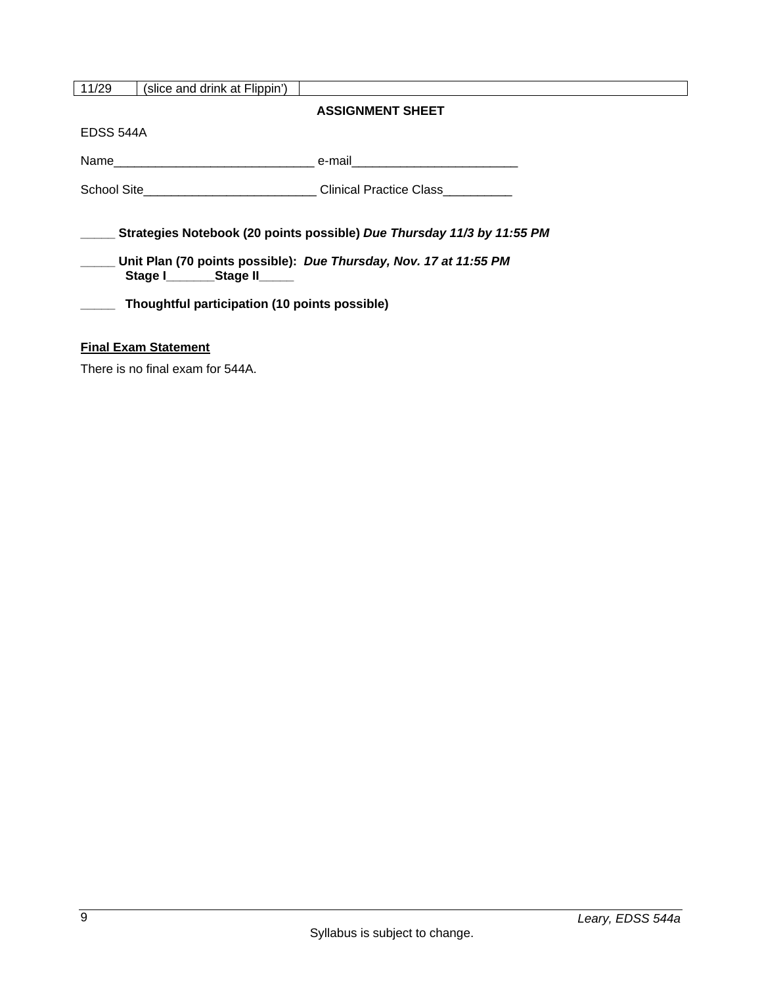| 11/29                                                                                                                                                                                                                        | (slice and drink at Flippin') |                                                                             |
|------------------------------------------------------------------------------------------------------------------------------------------------------------------------------------------------------------------------------|-------------------------------|-----------------------------------------------------------------------------|
|                                                                                                                                                                                                                              |                               | <b>ASSIGNMENT SHEET</b>                                                     |
| EDSS 544A                                                                                                                                                                                                                    |                               |                                                                             |
|                                                                                                                                                                                                                              |                               |                                                                             |
|                                                                                                                                                                                                                              |                               | School Site______________________________Clinical Practice Class___________ |
| Strategies Notebook (20 points possible) Due Thursday 11/3 by 11:55 PM<br>Unit Plan (70 points possible): Due Thursday, Nov. 17 at 11:55 PM<br>Stage I________Stage II_____<br>Thoughtful participation (10 points possible) |                               |                                                                             |
| <b>Final Exam Statement</b>                                                                                                                                                                                                  |                               |                                                                             |

There is no final exam for 544A.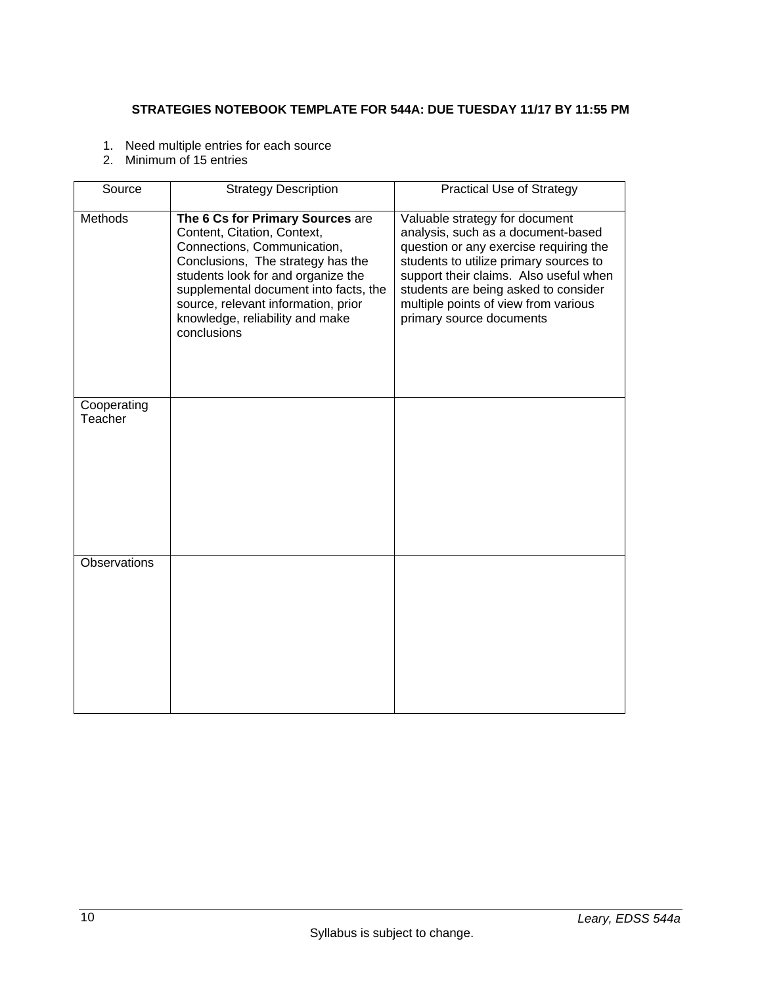## **STRATEGIES NOTEBOOK TEMPLATE FOR 544A: DUE TUESDAY 11/17 BY 11:55 PM**

- 1. Need multiple entries for each source
- 2. Minimum of 15 entries

| Source                 | <b>Strategy Description</b>                                                                                                                                                                                                                                                                                 | <b>Practical Use of Strategy</b>                                                                                                                                                                                                                                                                               |
|------------------------|-------------------------------------------------------------------------------------------------------------------------------------------------------------------------------------------------------------------------------------------------------------------------------------------------------------|----------------------------------------------------------------------------------------------------------------------------------------------------------------------------------------------------------------------------------------------------------------------------------------------------------------|
| <b>Methods</b>         | The 6 Cs for Primary Sources are<br>Content, Citation, Context,<br>Connections, Communication,<br>Conclusions, The strategy has the<br>students look for and organize the<br>supplemental document into facts, the<br>source, relevant information, prior<br>knowledge, reliability and make<br>conclusions | Valuable strategy for document<br>analysis, such as a document-based<br>question or any exercise requiring the<br>students to utilize primary sources to<br>support their claims. Also useful when<br>students are being asked to consider<br>multiple points of view from various<br>primary source documents |
| Cooperating<br>Teacher |                                                                                                                                                                                                                                                                                                             |                                                                                                                                                                                                                                                                                                                |
| Observations           |                                                                                                                                                                                                                                                                                                             |                                                                                                                                                                                                                                                                                                                |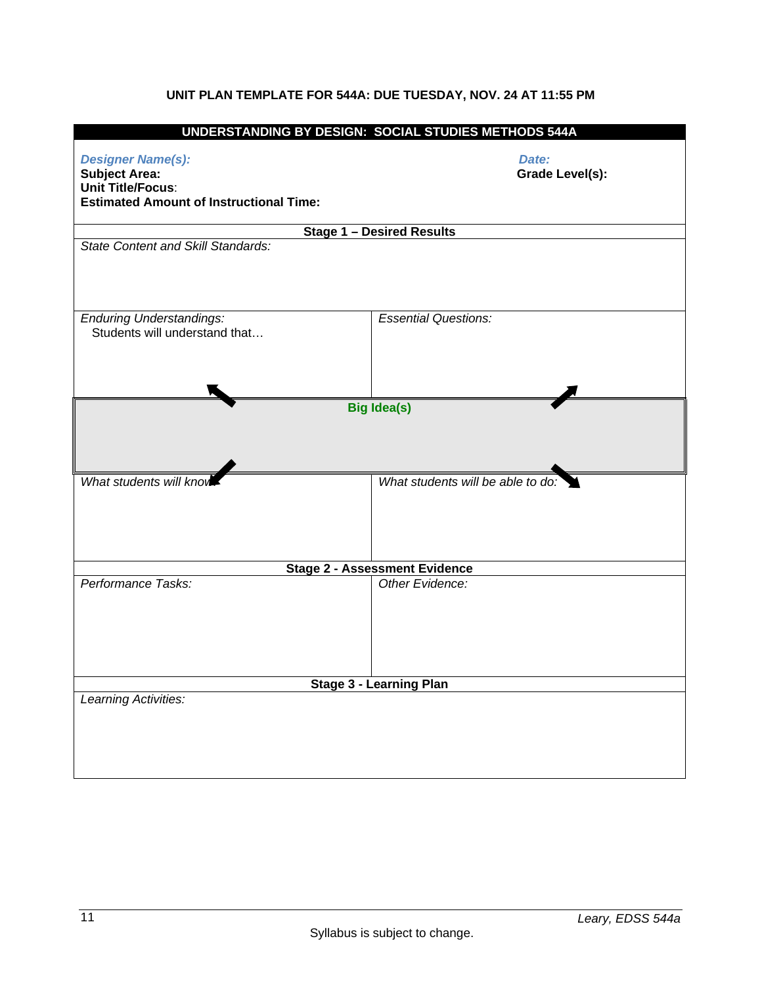# **UNIT PLAN TEMPLATE FOR 544A: DUE TUESDAY, NOV. 24 AT 11:55 PM**

|                                                                                                                                | UNDERSTANDING BY DESIGN: SOCIAL STUDIES METHODS 544A |  |  |
|--------------------------------------------------------------------------------------------------------------------------------|------------------------------------------------------|--|--|
| <b>Designer Name(s):</b><br><b>Subject Area:</b><br><b>Unit Title/Focus:</b><br><b>Estimated Amount of Instructional Time:</b> | Date:<br><b>Grade Level(s):</b>                      |  |  |
|                                                                                                                                | <b>Stage 1 - Desired Results</b>                     |  |  |
| <b>State Content and Skill Standards:</b>                                                                                      |                                                      |  |  |
| <b>Enduring Understandings:</b><br>Students will understand that                                                               | <b>Essential Questions:</b>                          |  |  |
| <b>Big Idea(s)</b>                                                                                                             |                                                      |  |  |
| What students will kno                                                                                                         | What students will be able to do:                    |  |  |
|                                                                                                                                | <b>Stage 2 - Assessment Evidence</b>                 |  |  |
| Performance Tasks:                                                                                                             | Other Evidence:                                      |  |  |
| Stage 3 - Learning Plan                                                                                                        |                                                      |  |  |
| Learning Activities:                                                                                                           |                                                      |  |  |